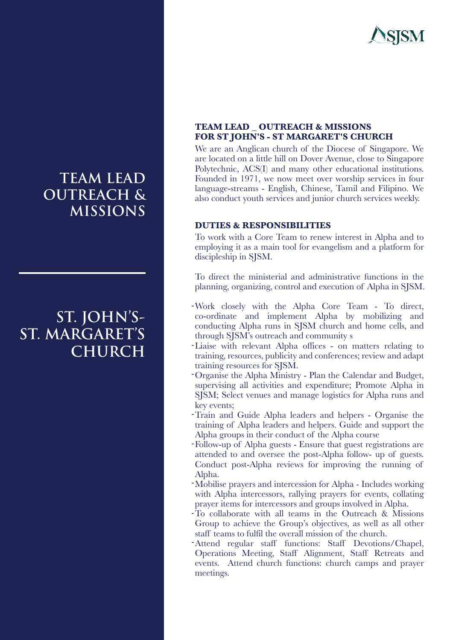

# **TEAM LEAD OUTREACH & MISSIONS**

## **ST. JOHN'S-ST. MARGARET'S CHURCH**

### **TEAM LEAD \_ OUTREACH & MISSIONS FOR ST JOHN'S - ST MARGARET'S CHURCH**

We are an Anglican church of the Diocese of Singapore. We are located on a little hill on Dover Avenue, close to Singapore Polytechnic, ACS(I) and many other educational institutions. Founded in 1971, we now meet over worship services in four language-streams - English, Chinese, Tamil and Filipino. We also conduct youth services and junior church services weekly.

#### **DUTIES & RESPONSIBILITIES**

To work with a Core Team to renew interest in Alpha and to employing it as a main tool for evangelism and a platform for discipleship in SJSM.

To direct the ministerial and administrative functions in the planning, organizing, control and execution of Alpha in SJSM.

- -Work closely with the Alpha Core Team To direct, co-ordinate and implement Alpha by mobilizing and conducting Alpha runs in SJSM church and home cells, and through SJSM's outreach and community s
- -Liaise with relevant Alpha offices on matters relating to training, resources, publicity and conferences; review and adapt training resources for SJSM.
- Organise the Alpha Ministry Plan the Calendar and Budget, supervising all activities and expenditure; Promote Alpha in SJSM; Select venues and manage logistics for Alpha runs and key events;
- -Train and Guide Alpha leaders and helpers Organise the training of Alpha leaders and helpers. Guide and support the Alpha groups in their conduct of the Alpha course
- Follow-up of Alpha guests Ensure that guest registrations are attended to and oversee the post-Alpha follow- up of guests. Conduct post-Alpha reviews for improving the running of Alpha.
- Mobilise prayers and intercession for Alpha Includes working with Alpha intercessors, rallying prayers for events, collating prayer items for intercessors and groups involved in Alpha.
- To collaborate with all teams in the Outreach & Missions Group to achieve the Group's objectives, as well as all other staff teams to fulfil the overall mission of the church.
- -Attend regular staff functions: Staff Devotions/Chapel, Operations Meeting, Staff Alignment, Staff Retreats and events. Attend church functions: church camps and prayer meetings.